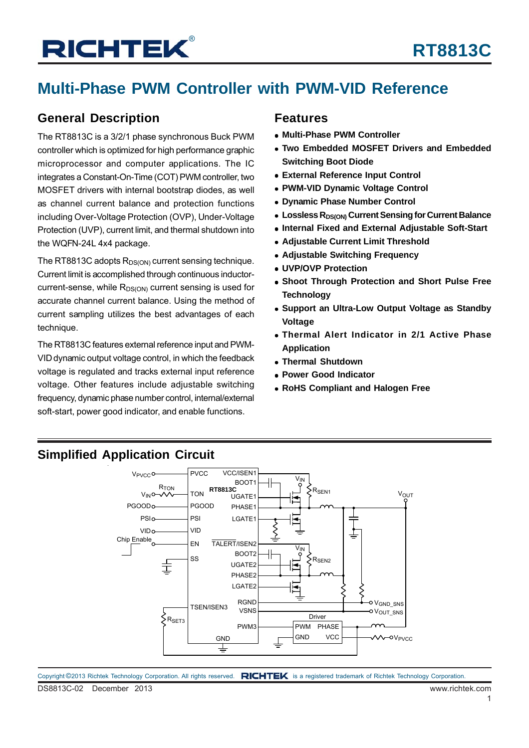## **Multi-Phase PWM Controller with PWM-VID Reference**

## **General Description**

The RT8813C is a 3/2/1 phase synchronous Buck PWM controller which is optimized for high performance graphic microprocessor and computer applications. The IC integrates a Constant-On-Time (COT) PWM controller, two MOSFET drivers with internal bootstrap diodes, as well as channel current balance and protection functions including Over-Voltage Protection (OVP), Under-Voltage Protection (UVP), current limit, and thermal shutdown into the WQFN-24L 4x4 package.

The RT8813C adopts  $R_{DS(ON)}$  current sensing technique. Current limit is accomplished through continuous inductorcurrent-sense, while  $R_{DS(ON)}$  current sensing is used for accurate channel current balance. Using the method of current sampling utilizes the best advantages of each technique.

The RT8813C features external reference input and PWM-VID dynamic output voltage control, in which the feedback voltage is regulated and tracks external input reference voltage. Other features include adjustable switching frequency, dynamic phase number control, internal/external soft-start, power good indicator, and enable functions.

### **Features**

- **Multi-Phase PWM Controller**
- **Two Embedded MOSFET Drivers and Embedded Switching Boot Diode**
- **External Reference Input Control**
- **PWM-VID Dynamic Voltage Control**
- **Dynamic Phase Number Control**
- **EDDERS RDS(ON) Current Sensing for Current Balance**
- **Internal Fixed and External Adjustable Soft-Start**
- **Adjustable Current Limit Threshold**
- **Adjustable Switching Frequency**
- **UVP/OVP Protection**
- **Shoot Through Protection and Short Pulse Free Technology**
- **Support an Ultra-Low Output Voltage as Standby Voltage**
- **Thermal Alert Indicator in 2/1 Active Phase Application**
- **Thermal Shutdown**
- **Power Good Indicator**
- **RoHS Compliant and Halogen Free**

## **Simplified Application Circuit**



DS8813C-02 December 2013 www.richtek.com Copyright ©2013 Richtek Technology Corporation. All rights reserved. RICHTEK is a registered trademark of Richtek Technology Corporation.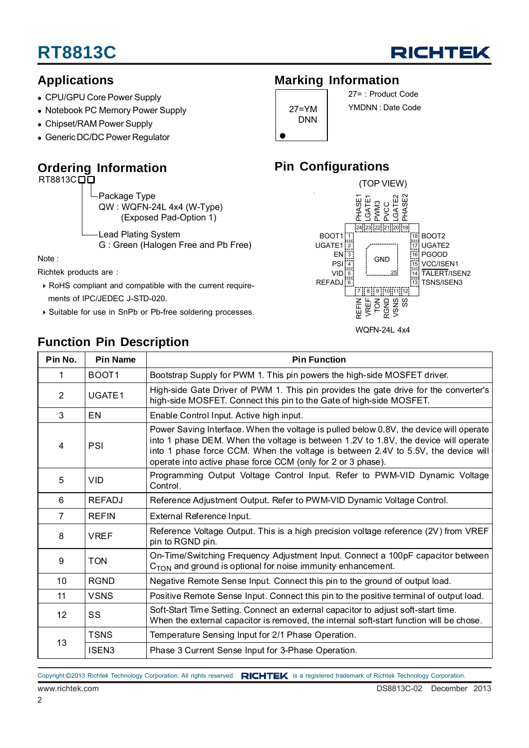

## **Applications**

- CPU/GPU Core Power Supply
- Notebook PC Memory Power Supply
- Chipset/RAM Power Supply
- Generic DC/DC Power Regulator

## **Ordering Information**

RT8813CDD

Package Type QW : WQFN-24L 4x4 (W-Type) (Exposed Pad-Option 1)

Lead Plating System G : Green (Halogen Free and Pb Free)

Note :

Richtek products are :

- RoHS compliant and compatible with the current require ments of IPC/JEDEC J-STD-020.
- Suitable for use in SnPb or Pb-free soldering processes.

## **Function Pin Description**

## **Marking Information**

| 27=YM<br>DNN |
|--------------|
|              |

27= : Product Code YMDNN : Date Code

## **Pin Configurations**



WQFN-24L 4x4

| Pin No.           | <b>Pin Name</b>   | <b>Pin Function</b>                                                                                                                                                                                                                                                                                                                |  |  |  |
|-------------------|-------------------|------------------------------------------------------------------------------------------------------------------------------------------------------------------------------------------------------------------------------------------------------------------------------------------------------------------------------------|--|--|--|
| 1                 | BOOT <sub>1</sub> | Bootstrap Supply for PWM 1. This pin powers the high-side MOSFET driver.                                                                                                                                                                                                                                                           |  |  |  |
| $\overline{2}$    | UGATE1            | High-side Gate Driver of PWM 1. This pin provides the gate drive for the converter's<br>high-side MOSFET. Connect this pin to the Gate of high-side MOSFET.                                                                                                                                                                        |  |  |  |
| 3                 | EN                | Enable Control Input. Active high input.                                                                                                                                                                                                                                                                                           |  |  |  |
| 4                 | PSI               | Power Saving Interface. When the voltage is pulled below 0.8V, the device will operate<br>into 1 phase DEM. When the voltage is between 1.2V to 1.8V, the device will operate<br>into 1 phase force CCM. When the voltage is between 2.4V to 5.5V, the device will<br>operate into active phase force CCM (only for 2 or 3 phase). |  |  |  |
| 5                 | <b>VID</b>        | Programming Output Voltage Control Input. Refer to PWM-VID Dynamic Voltage<br>Control.                                                                                                                                                                                                                                             |  |  |  |
| 6                 | <b>REFADJ</b>     | Reference Adjustment Output. Refer to PWM-VID Dynamic Voltage Control.                                                                                                                                                                                                                                                             |  |  |  |
| $\overline{7}$    | <b>REFIN</b>      | External Reference Input.                                                                                                                                                                                                                                                                                                          |  |  |  |
| 8                 | <b>VREF</b>       | Reference Voltage Output. This is a high precision voltage reference (2V) from VREF<br>pin to RGND pin.                                                                                                                                                                                                                            |  |  |  |
| 9                 | <b>TON</b>        | On-Time/Switching Frequency Adjustment Input. Connect a 100pF capacitor between<br>$CTON$ and ground is optional for noise immunity enhancement.                                                                                                                                                                                   |  |  |  |
| 10                | <b>RGND</b>       | Negative Remote Sense Input. Connect this pin to the ground of output load.                                                                                                                                                                                                                                                        |  |  |  |
| 11                | <b>VSNS</b>       | Positive Remote Sense Input. Connect this pin to the positive terminal of output load.                                                                                                                                                                                                                                             |  |  |  |
| $12 \overline{ }$ | SS                | Soft-Start Time Setting. Connect an external capacitor to adjust soft-start time.<br>When the external capacitor is removed, the internal soft-start function will be chose.                                                                                                                                                       |  |  |  |
|                   | <b>TSNS</b>       | Temperature Sensing Input for 2/1 Phase Operation.                                                                                                                                                                                                                                                                                 |  |  |  |
| 13                | ISEN3             | Phase 3 Current Sense Input for 3-Phase Operation.                                                                                                                                                                                                                                                                                 |  |  |  |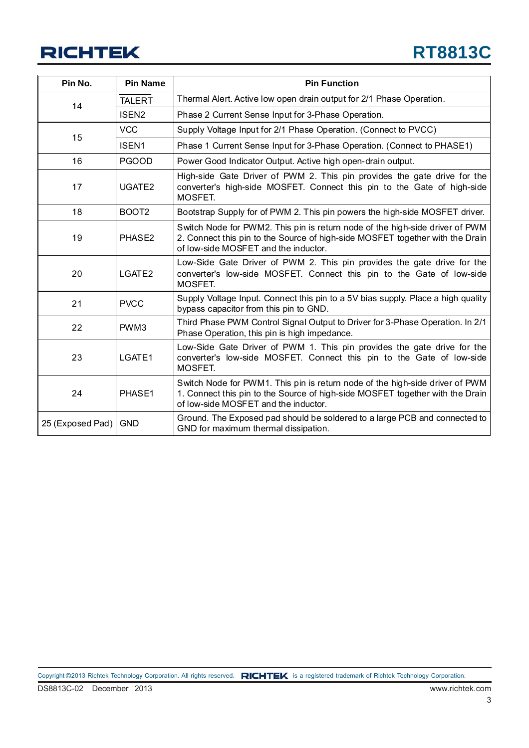| Pin No.                  | <b>Pin Name</b>    | <b>Pin Function</b>                                                                                                                                                                                   |
|--------------------------|--------------------|-------------------------------------------------------------------------------------------------------------------------------------------------------------------------------------------------------|
| 14                       | <b>TALERT</b>      | Thermal Alert. Active low open drain output for 2/1 Phase Operation.                                                                                                                                  |
|                          | ISEN <sub>2</sub>  | Phase 2 Current Sense Input for 3-Phase Operation.                                                                                                                                                    |
|                          | <b>VCC</b>         | Supply Voltage Input for 2/1 Phase Operation. (Connect to PVCC)                                                                                                                                       |
| 15                       | <b>ISEN1</b>       | Phase 1 Current Sense Input for 3-Phase Operation. (Connect to PHASE1)                                                                                                                                |
| 16                       | <b>PGOOD</b>       | Power Good Indicator Output. Active high open-drain output.                                                                                                                                           |
| 17<br>UGATE <sub>2</sub> |                    | High-side Gate Driver of PWM 2. This pin provides the gate drive for the<br>converter's high-side MOSFET. Connect this pin to the Gate of high-side<br>MOSFET.                                        |
| 18                       | BOOT <sub>2</sub>  | Bootstrap Supply for of PWM 2. This pin powers the high-side MOSFET driver.                                                                                                                           |
| 19<br>PHASE <sub>2</sub> |                    | Switch Node for PWM2. This pin is return node of the high-side driver of PWM<br>2. Connect this pin to the Source of high-side MOSFET together with the Drain<br>of low-side MOSFET and the inductor. |
| 20                       | LGATE <sub>2</sub> | Low-Side Gate Driver of PWM 2. This pin provides the gate drive for the<br>converter's low-side MOSFET. Connect this pin to the Gate of low-side<br>MOSFET.                                           |
| 21                       | <b>PVCC</b>        | Supply Voltage Input. Connect this pin to a 5V bias supply. Place a high quality<br>bypass capacitor from this pin to GND.                                                                            |
| 22                       | PWM3               | Third Phase PWM Control Signal Output to Driver for 3-Phase Operation. In 2/1<br>Phase Operation, this pin is high impedance.                                                                         |
| 23                       | LGATE1             | Low-Side Gate Driver of PWM 1. This pin provides the gate drive for the<br>converter's low-side MOSFET. Connect this pin to the Gate of low-side<br>MOSFET.                                           |
| 24                       | PHASE1             | Switch Node for PWM1. This pin is return node of the high-side driver of PWM<br>1. Connect this pin to the Source of high-side MOSFET together with the Drain<br>of low-side MOSFET and the inductor. |
| 25 (Exposed Pad)         | <b>GND</b>         | Ground. The Exposed pad should be soldered to a large PCB and connected to<br>GND for maximum thermal dissipation.                                                                                    |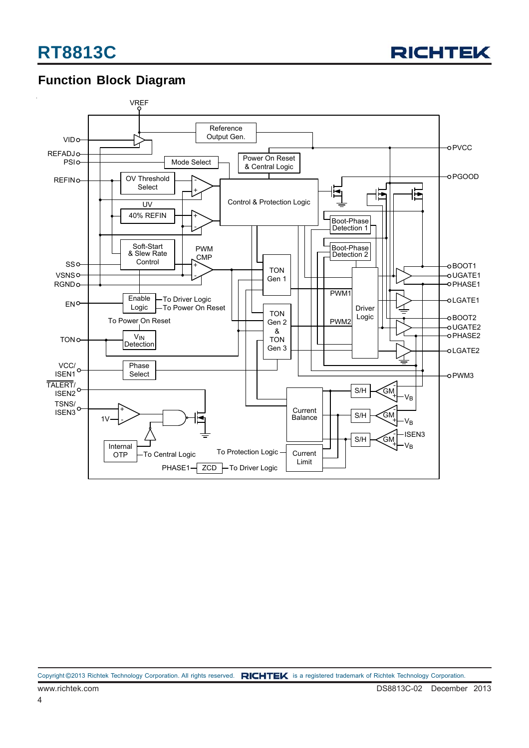

## **Function Block Diagram**

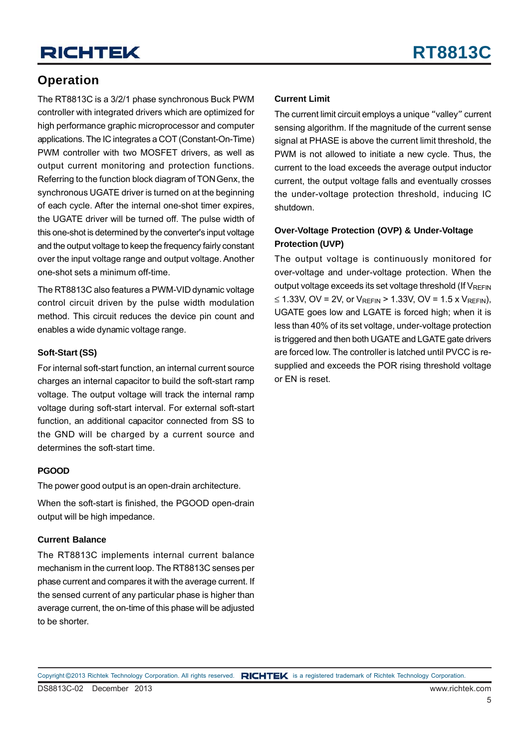## **Operation**

The RT8813C is a 3/2/1 phase synchronous Buck PWM controller with integrated drivers which are optimized for high performance graphic microprocessor and computer applications. The IC integrates a COT (Constant-On-Time) PWM controller with two MOSFET drivers, as well as output current monitoring and protection functions. Referring to the function block diagram of TON Genx, the synchronous UGATE driver is turned on at the beginning of each cycle. After the internal one-shot timer expires, the UGATE driver will be turned off. The pulse width of this one-shot is determined by the converter's input voltage and the output voltage to keep the frequency fairly constant over the input voltage range and output voltage. Another one-shot sets a minimum off-time.

The RT8813C also features a PWM-VID dynamic voltage control circuit driven by the pulse width modulation method. This circuit reduces the device pin count and enables a wide dynamic voltage range.

### **Soft-Start (SS)**

For internal soft-start function, an internal current source charges an internal capacitor to build the soft-start ramp voltage. The output voltage will track the internal ramp voltage during soft-start interval. For external soft-start function, an additional capacitor connected from SS to the GND will be charged by a current source and determines the soft-start time.

### **PGOOD**

The power good output is an open-drain architecture.

When the soft-start is finished, the PGOOD open-drain output will be high impedance.

### **Current Balance**

The RT8813C implements internal current balance mechanism in the current loop. The RT8813C senses per phase current and compares it with the average current. If the sensed current of any particular phase is higher than average current, the on-time of this phase will be adjusted to be shorter.

### **Current Limit**

The current limit circuit employs a unique "valley" current sensing algorithm. If the magnitude of the current sense signal at PHASE is above the current limit threshold, the PWM is not allowed to initiate a new cycle. Thus, the current to the load exceeds the average output inductor current, the output voltage falls and eventually crosses the under-voltage protection threshold, inducing IC shutdown.

### **Over-Voltage Protection (OVP) & Under-Voltage Protection (UVP)**

The output voltage is continuously monitored for over-voltage and under-voltage protection. When the output voltage exceeds its set voltage threshold (If  $V_{REFIN}$ ≤ 1.33V, OV = 2V, or  $V_{RFFIN}$  > 1.33V, OV = 1.5 x  $V_{RFFIN}$ ), UGATE goes low and LGATE is forced high; when it is less than 40% of its set voltage, under-voltage protection is triggered and then both UGATE and LGATE gate drivers are forced low. The controller is latched until PVCC is resupplied and exceeds the POR rising threshold voltage or EN is reset.

Copyright ©2013 Richtek Technology Corporation. All rights reserved. RICHTEK is a registered trademark of Richtek Technology Corporation.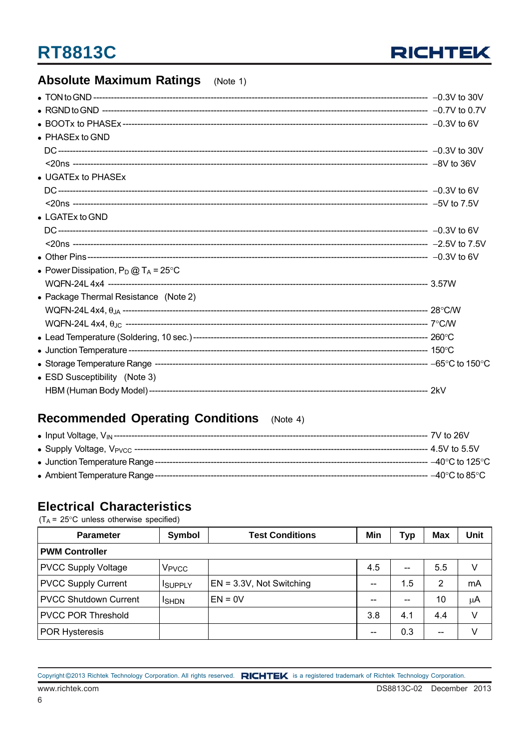

#### **Absolute Maximum Ratings**  $(Note 1)$

| • PHASEx to GND                                |  |
|------------------------------------------------|--|
|                                                |  |
|                                                |  |
| • UGATEx to PHASEx                             |  |
|                                                |  |
|                                                |  |
| $\bullet$ LGATEx to GND                        |  |
|                                                |  |
|                                                |  |
|                                                |  |
| • Power Dissipation, $P_D @ T_A = 25^{\circ}C$ |  |
|                                                |  |
| • Package Thermal Resistance (Note 2)          |  |
|                                                |  |
|                                                |  |
|                                                |  |
|                                                |  |
|                                                |  |
| • ESD Susceptibility (Note 3)                  |  |
|                                                |  |

## Recommended Operating Conditions (Note 4)

|  | --- 7V to 26V                               |
|--|---------------------------------------------|
|  | --- 4.5V to 5.5V                            |
|  | $-40^{\circ}$ C to 125 $^{\circ}$ C $^{-1}$ |
|  | $-40^{\circ}$ C to 85 $^{\circ}$ C          |

## **Electrical Characteristics**

 $(T_A = 25^{\circ}C$  unless otherwise specified)

| <b>Parameter</b>             | Symbol            | <b>Test Conditions</b>      | Min | <b>Typ</b>               | <b>Max</b> | Unit |  |  |  |
|------------------------------|-------------------|-----------------------------|-----|--------------------------|------------|------|--|--|--|
| <b>PWM Controller</b>        |                   |                             |     |                          |            |      |  |  |  |
| <b>PVCC Supply Voltage</b>   | V <sub>PVCC</sub> |                             | 4.5 | $\overline{\phantom{a}}$ | 5.5        | v    |  |  |  |
| <b>PVCC Supply Current</b>   | <b>ISUPPLY</b>    | $EN = 3.3V$ , Not Switching | --  | 1.5                      | 2          | mA   |  |  |  |
| <b>PVCC Shutdown Current</b> | <b>ISHDN</b>      | $EN = 0V$                   | --  |                          | 10         | μA   |  |  |  |
| <b>PVCC POR Threshold</b>    |                   |                             | 3.8 | 4.1                      | 4.4        |      |  |  |  |
| <b>POR Hysteresis</b>        |                   |                             | --  | 0.3                      | $-$        |      |  |  |  |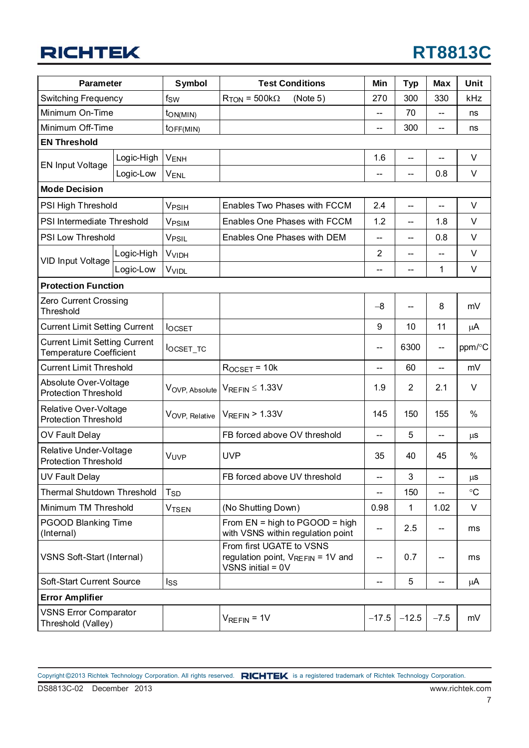| Parameter                                                              |            | <b>Symbol</b>           | <b>Test Conditions</b>                                                                      | Min                                 | <b>Typ</b>     | <b>Max</b>                          | Unit      |
|------------------------------------------------------------------------|------------|-------------------------|---------------------------------------------------------------------------------------------|-------------------------------------|----------------|-------------------------------------|-----------|
| <b>Switching Frequency</b>                                             |            | fsw                     | $R_{TON} = 500k\Omega$<br>(Note 5)                                                          | 270                                 | 300            | 330                                 | kHz       |
| Minimum On-Time                                                        |            | ton(MIN)                |                                                                                             | $\overline{\phantom{a}}$            | 70             | $\overline{\phantom{m}}$            | ns        |
| Minimum Off-Time                                                       |            | toFF(MIN)               |                                                                                             | $\overline{\phantom{a}}$            | 300            | $\overline{\phantom{m}}$            | ns        |
| <b>EN Threshold</b>                                                    |            |                         |                                                                                             |                                     |                |                                     |           |
|                                                                        | Logic-High | <b>VENH</b>             |                                                                                             | 1.6                                 | --             | $-$                                 | $\vee$    |
| <b>EN Input Voltage</b>                                                | Logic-Low  | $V_{ENL}$               |                                                                                             | --                                  | --             | 0.8                                 | $\vee$    |
| <b>Mode Decision</b>                                                   |            |                         |                                                                                             |                                     |                |                                     |           |
| PSI High Threshold                                                     |            | V <sub>PSIH</sub>       | Enables Two Phases with FCCM                                                                | 2.4                                 | $-$            | --                                  | $\vee$    |
| PSI Intermediate Threshold                                             |            | <b>VPSIM</b>            | Enables One Phases with FCCM                                                                | 1.2                                 | --             | 1.8                                 | V         |
| PSI Low Threshold                                                      |            | V <sub>PSIL</sub>       | Enables One Phases with DEM                                                                 | --                                  | --             | 0.8                                 | $\vee$    |
|                                                                        | Logic-High | <b>V<sub>VIDH</sub></b> |                                                                                             | 2                                   | --             | $-$                                 | $\vee$    |
| VID Input Voltage                                                      | Logic-Low  | VVIDL                   |                                                                                             | --                                  | --             | 1                                   | $\vee$    |
| <b>Protection Function</b>                                             |            |                         |                                                                                             |                                     |                |                                     |           |
| Zero Current Crossing<br>Threshold                                     |            |                         |                                                                                             | $-8$                                |                | 8                                   | mV        |
| <b>Current Limit Setting Current</b>                                   |            | <b>l</b> ocset          |                                                                                             | 9                                   | 10             | 11                                  | μA        |
| <b>Current Limit Setting Current</b><br><b>Temperature Coefficient</b> |            | locset_tc               |                                                                                             | $\overline{\phantom{a}}$            | 6300           | $\overline{\phantom{a}}$            | ppm/°C    |
| <b>Current Limit Threshold</b>                                         |            |                         | $R$ <sub>OCSET</sub> = 10 $k$                                                               | --                                  | 60             | $\hspace{0.05cm}$ $\hspace{0.05cm}$ | mV        |
| Absolute Over-Voltage<br><b>Protection Threshold</b>                   |            | VOVP, Absolute          | $V_{REFIN} \leq 1.33V$                                                                      | 1.9                                 | $\overline{2}$ | 2.1                                 | $\vee$    |
| Relative Over-Voltage<br><b>Protection Threshold</b>                   |            | VOVP, Relative          | $V_{REFIN}$ > 1.33V                                                                         | 145                                 | 150            | 155                                 | %         |
| OV Fault Delay                                                         |            |                         | FB forced above OV threshold                                                                | $\hspace{0.05cm}$ $\hspace{0.05cm}$ | 5              | --                                  | μS        |
| Relative Under-Voltage<br><b>Protection Threshold</b>                  |            | VUVP                    | <b>UVP</b>                                                                                  | 35                                  | 40             | 45                                  | $\%$      |
| <b>UV Fault Delay</b>                                                  |            |                         | FB forced above UV threshold                                                                | --                                  | 3              | --                                  | $\mu$ s   |
| Thermal Shutdown Threshold                                             |            | <b>T</b> <sub>SD</sub>  |                                                                                             |                                     | 150            |                                     | $\circ$ C |
| Minimum TM Threshold                                                   |            | <b>VTSEN</b>            | (No Shutting Down)                                                                          | 0.98                                | 1              | 1.02                                | V         |
| <b>PGOOD Blanking Time</b><br>(Internal)                               |            |                         | From $EN = high to PGOOD = high$<br>with VSNS within regulation point                       | --                                  | 2.5            | $-\!$                               | ms        |
| VSNS Soft-Start (Internal)                                             |            |                         | From first UGATE to VSNS<br>regulation point, $V_{REFIN} = 1V$ and<br>$VSNS$ initial = $0V$ | --                                  | 0.7            | --                                  | ms        |
| Soft-Start Current Source                                              |            | <b>Iss</b>              |                                                                                             | $\overline{\phantom{a}}$            | 5              | $\hspace{0.05cm}$ $\hspace{0.05cm}$ | μA        |
| <b>Error Amplifier</b>                                                 |            |                         |                                                                                             |                                     |                |                                     |           |
| <b>VSNS Error Comparator</b><br>Threshold (Valley)                     |            |                         | $V_{REFIN} = 1V$                                                                            | $-17.5$                             | $-12.5$        | $-7.5$                              | mV        |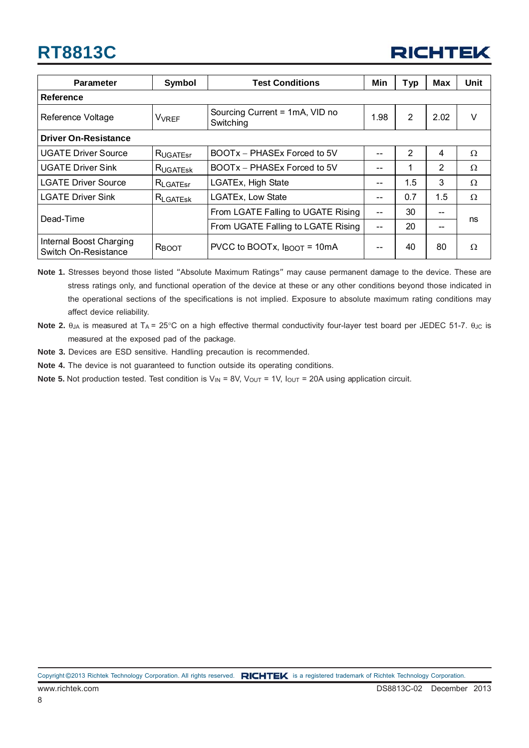

| <b>Parameter</b>                                | <b>Symbol</b>           | <b>Test Conditions</b>                          |               | Typ            | Max  | Unit     |
|-------------------------------------------------|-------------------------|-------------------------------------------------|---------------|----------------|------|----------|
| Reference                                       |                         |                                                 |               |                |      |          |
| Reference Voltage                               | <b>V<sub>VREF</sub></b> | Sourcing Current = 1mA, VID no<br>Switching     |               | $\overline{2}$ | 2.02 | $\vee$   |
| <b>Driver On-Resistance</b>                     |                         |                                                 |               |                |      |          |
| <b>UGATE Driver Source</b>                      | RUGATEST                | BOOTx - PHASEx Forced to 5V                     | --            | 2              | 4    | $\Omega$ |
| <b>UGATE Driver Sink</b>                        | RUGATESK                | BOOTx - PHASEx Forced to 5V                     | --            | 1              | 2    | Ω        |
| <b>LGATE Driver Source</b>                      | $R_{LGATEsr}$           | LGATEx, High State                              | --            | 1.5            | 3    | Ω        |
| <b>LGATE Driver Sink</b>                        | $R_{\text{LGATESK}}$    | LGATEx, Low State                               | --            | 0.7            | 1.5  | $\Omega$ |
| Dead-Time                                       |                         | From LGATE Falling to UGATE Rising              | $\sim$ $\sim$ | 30             | --   | ns       |
|                                                 |                         | From UGATE Falling to LGATE Rising              | $\sim$ $\sim$ | 20             | --   |          |
| Internal Boost Charging<br>Switch On-Resistance | R <sub>BOOT</sub>       | PVCC to BOOTx, $I_{\text{BOOT}} = 10 \text{mA}$ | --            | 40             | 80   | Ω        |

**Note 1.** Stresses beyond those listed "Absolute Maximum Ratings" may cause permanent damage to the device. These are stress ratings only, and functional operation of the device at these or any other conditions beyond those indicated in the operational sections of the specifications is not implied. Exposure to absolute maximum rating conditions may affect device reliability.

**Note 2.** θ<sub>JA</sub> is measured at T<sub>A</sub> = 25°C on a high effective thermal conductivity four-layer test board per JEDEC 51-7. θ<sub>JC</sub> is measured at the exposed pad of the package.

- **Note 3.** Devices are ESD sensitive. Handling precaution is recommended.
- **Note 4.** The device is not guaranteed to function outside its operating conditions.

**Note 5.** Not production tested. Test condition is  $V_{IN} = 8V$ ,  $V_{OUT} = 1V$ ,  $I_{OUT} = 20A$  using application circuit.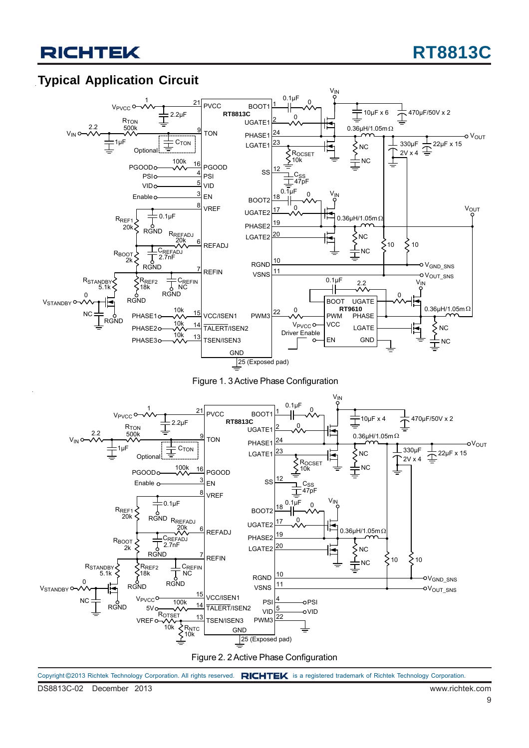## **Typical Application Circuit**





Figure 2. 2 Active Phase Configuration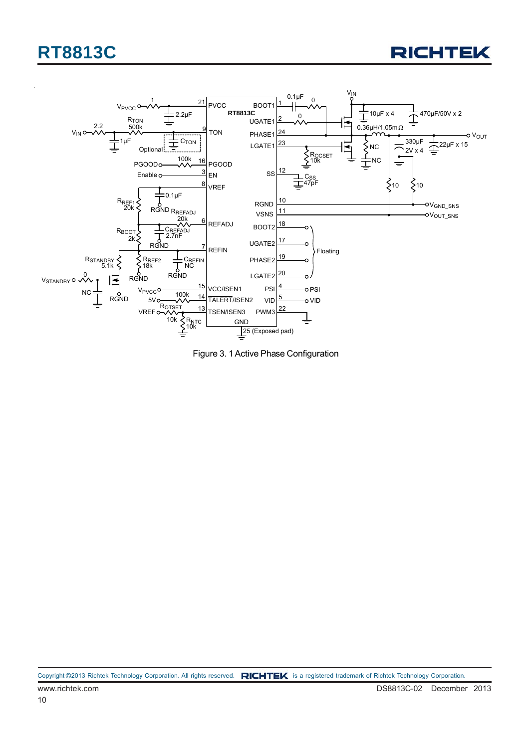



Figure 3. 1 Active Phase Configuration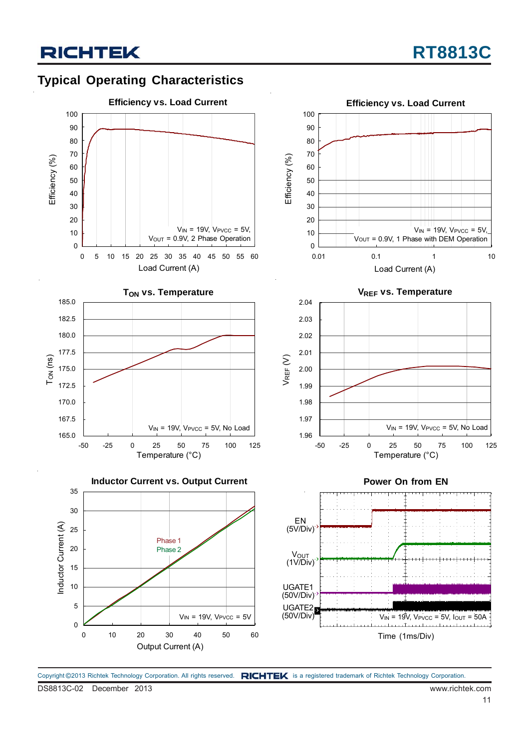



Copyright ©2013 Richtek Technology Corporation. All rights reserved. RICHTEK is a registered trademark of Richtek Technology Corporation.

DS8813C-02 December 2013 www.richtek.com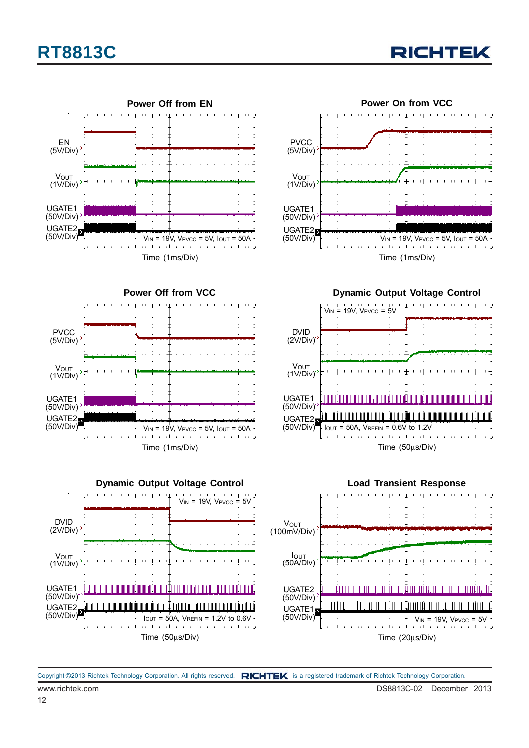



**RICHTEK** 

**Power Off from VCC** Time (1ms/Div) UGATE1 (50V/Div)  $V_{IN} = 19V$ ,  $V_{PVCC} = 5V$ ,  $I_{OUT} = 50A$ **PVCC** (5V/Div) UGATE2 (50V/Div) **V**<sub>OUT</sub> (1V/Div)



**Dynamic Output Voltage Control**





www.richtek.com DS8813C-02 December 2013 Copyright ©2013 Richtek Technology Corporation. All rights reserved. RICHTEK is a registered trademark of Richtek Technology Corporation.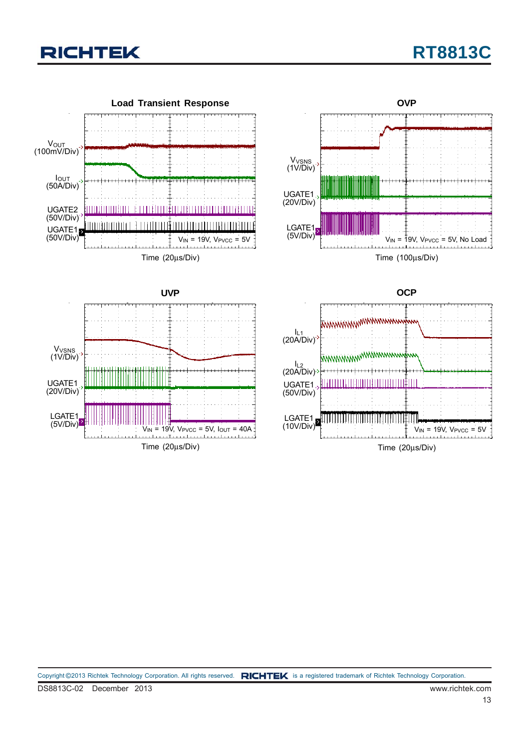# **RT8813C**

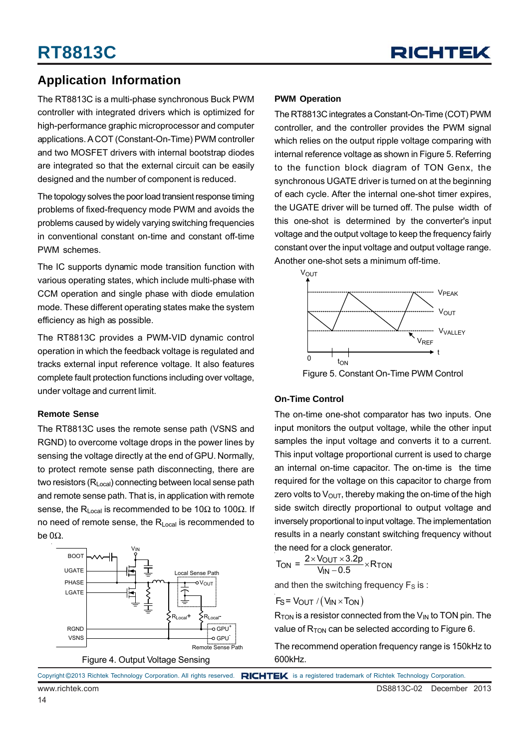

## **Application Information**

The RT8813C is a multi-phase synchronous Buck PWM controller with integrated drivers which is optimized for high-performance graphic microprocessor and computer applications. A COT (Constant-On-Time) PWM controller and two MOSFET drivers with internal bootstrap diodes are integrated so that the external circuit can be easily designed and the number of component is reduced.

The topology solves the poor load transient response timing problems of fixed-frequency mode PWM and avoids the problems caused by widely varying switching frequencies in conventional constant on-time and constant off-time PWM schemes.

The IC supports dynamic mode transition function with various operating states, which include multi-phase with CCM operation and single phase with diode emulation mode. These different operating states make the system efficiency as high as possible.

The RT8813C provides a PWM-VID dynamic control operation in which the feedback voltage is regulated and tracks external input reference voltage. It also features complete fault protection functions including over voltage, under voltage and current limit.

### **Remote Sense**

The RT8813C uses the remote sense path (VSNS and RGND) to overcome voltage drops in the power lines by sensing the voltage directly at the end of GPU. Normally, to protect remote sense path disconnecting, there are two resistors (R<sub>Local</sub>) connecting between local sense path and remote sense path. That is, in application with remote sense, the R<sub>Local</sub> is recommended to be 10 $\Omega$  to 100 $\Omega$ . If no need of remote sense, the R<sub>Local</sub> is recommended to be  $0Ω$ .



### **PWM Operation**

The RT8813C integrates a Constant-On-Time (COT) PWM controller, and the controller provides the PWM signal which relies on the output ripple voltage comparing with internal reference voltage as shown in Figure 5. Referring to the function block diagram of TON Genx, the synchronous UGATE driver is turned on at the beginning of each cycle. After the internal one-shot timer expires, the UGATE driver will be turned off. The pulse width of this one-shot is determined by the converter's input voltage and the output voltage to keep the frequency fairly constant over the input voltage and output voltage range. Another one-shot sets a minimum off-time.



### Figure 5. Constant On-Time PWM Control

### **On-Time Control**

The on-time one-shot comparator has two inputs. One input monitors the output voltage, while the other input samples the input voltage and converts it to a current. This input voltage proportional current is used to charge an internal on-time capacitor. The on-time is the time required for the voltage on this capacitor to charge from zero volts to  $V_{\text{OUT}}$ , thereby making the on-time of the high side switch directly proportional to output voltage and inversely proportional to input voltage. The implementation results in a nearly constant switching frequency without the need for a clock generator.

$$
T_{\text{ON}} = \frac{2 \times V_{\text{OUT}} \times 3.2p}{V_{\text{IN}} - 0.5} \times R_{\text{TON}}
$$

and then the switching frequency  $F_S$  is :

$$
F_S = V_{OUT} / (V_{IN} \times T_{ON})
$$

 $R_{TON}$  is a resistor connected from the  $V_{IN}$  to TON pin. The value of  $R_{TON}$  can be selected according to Figure 6.

The recommend operation frequency range is 150kHz to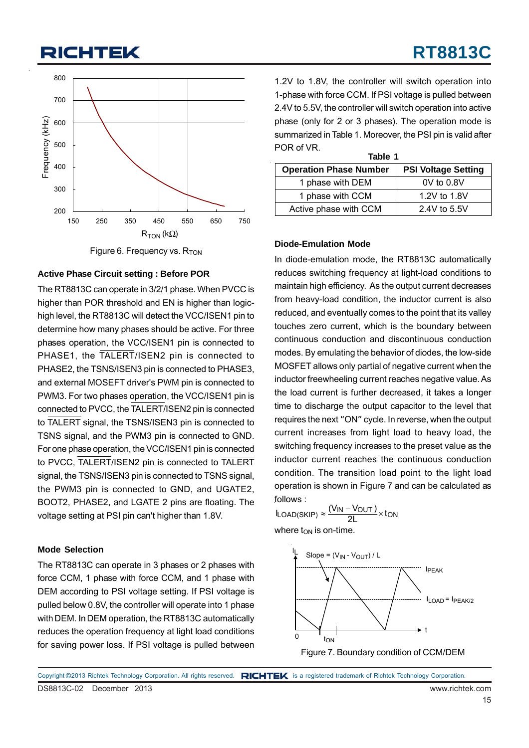

Figure 6. Frequency vs.  $R_{TON}$ 

### **Active Phase Circuit setting : Before POR**

The RT8813C can operate in 3/2/1 phase. When PVCC is higher than POR threshold and EN is higher than logichigh level, the RT8813C will detect the VCC/ISEN1 pin to determine how many phases should be active. For three phases operation, the VCC/ISEN1 pin is connected to PHASE1, the TALERT/ISEN2 pin is connected to PHASE2, the TSNS/ISEN3 pin is connected to PHASE3, and external MOSEFT driver's PWM pin is connected to PWM3. For two phases operation, the VCC/ISEN1 pin is connected to PVCC, the TALERT/ISEN2 pin is connected to TALERT signal, the TSNS/ISEN3 pin is connected to TSNS signal, and the PWM3 pin is connected to GND. For one phase operation, the VCC/ISEN1 pin is connected to PVCC, TALERT/ISEN2 pin is connected to TALERT signal, the TSNS/ISEN3 pin is connected to TSNS signal, the PWM3 pin is connected to GND, and UGATE2, BOOT2, PHASE2, and LGATE 2 pins are floating. The voltage setting at PSI pin can't higher than 1.8V.

### **Mode Selection**

The RT8813C can operate in 3 phases or 2 phases with force CCM, 1 phase with force CCM, and 1 phase with DEM according to PSI voltage setting. If PSI voltage is pulled below 0.8V, the controller will operate into 1 phase with DEM. In DEM operation, the RT8813C automatically reduces the operation frequency at light load conditions for saving power loss. If PSI voltage is pulled between

1.2V to 1.8V, the controller will switch operation into 1-phase with force CCM. If PSI voltage is pulled between 2.4V to 5.5V, the controller will switch operation into active phase (only for 2 or 3 phases). The operation mode is summarized in Table 1. Moreover, the PSI pin is valid after POR of VR.

| Table 1                       |                            |  |  |  |  |
|-------------------------------|----------------------------|--|--|--|--|
| <b>Operation Phase Number</b> | <b>PSI Voltage Setting</b> |  |  |  |  |
| 1 phase with DEM              | $0V$ to $0.8V$             |  |  |  |  |
| 1 phase with CCM              | 1.2V to 1.8V               |  |  |  |  |
| Active phase with CCM         | 2.4V to 5.5V               |  |  |  |  |

### **Diode-Emulation Mode**

In diode-emulation mode, the RT8813C automatically reduces switching frequency at light-load conditions to maintain high efficiency. As the output current decreases from heavy-load condition, the inductor current is also reduced, and eventually comes to the point that its valley touches zero current, which is the boundary between continuous conduction and discontinuous conduction modes. By emulating the behavior of diodes, the low-side MOSFET allows only partial of negative current when the inductor freewheeling current reaches negative value. As the load current is further decreased, it takes a longer time to discharge the output capacitor to the level that requires the next "ON" cycle. In reverse, when the output current increases from light load to heavy load, the switching frequency increases to the preset value as the inductor current reaches the continuous conduction condition. The transition load point to the light load operation is shown in Figure 7 and can be calculated as follows :

 $I_{\text{LOAD(SKIP)}} \approx \frac{(V_{\text{IN}} - V_{\text{OUT}})}{2L} \times \text{ton}$ 





DS8813C-02 December 2013 www.richtek.com Copyright ©2013 Richtek Technology Corporation. All rights reserved. RICHTEK is a registered trademark of Richtek Technology Corporation.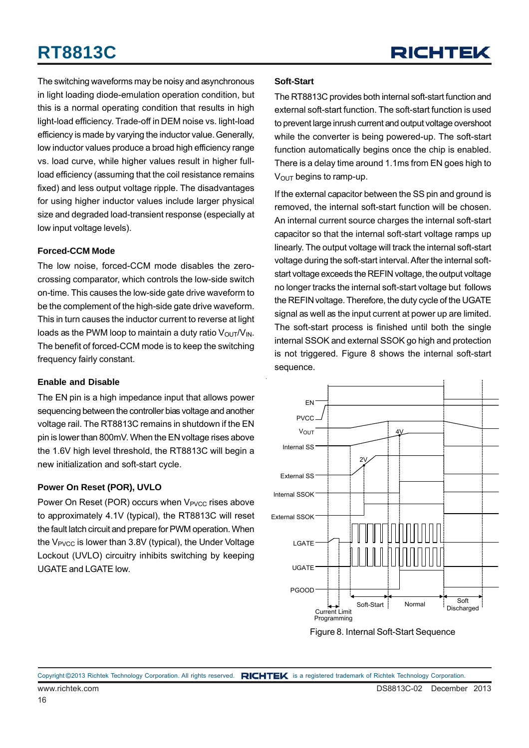

The switching waveforms may be noisy and asynchronous in light loading diode-emulation operation condition, but this is a normal operating condition that results in high light-load efficiency. Trade-off in DEM noise vs. light-load efficiency is made by varying the inductor value. Generally, low inductor values produce a broad high efficiency range vs. load curve, while higher values result in higher fullload efficiency (assuming that the coil resistance remains fixed) and less output voltage ripple. The disadvantages for using higher inductor values include larger physical size and degraded load-transient response (especially at low input voltage levels).

### **Forced-CCM Mode**

The low noise, forced-CCM mode disables the zerocrossing comparator, which controls the low-side switch on-time. This causes the low-side gate drive waveform to be the complement of the high-side gate drive waveform. This in turn causes the inductor current to reverse at light loads as the PWM loop to maintain a duty ratio  $V_{\text{OUT}}/V_{\text{IN}}$ . The benefit of forced-CCM mode is to keep the switching frequency fairly constant.

### **Enable and Disable**

The EN pin is a high impedance input that allows power sequencing between the controller bias voltage and another voltage rail. The RT8813C remains in shutdown if the EN pin is lower than 800mV. When the EN voltage rises above the 1.6V high level threshold, the RT8813C will begin a new initialization and soft-start cycle.

### **Power On Reset (POR), UVLO**

Power On Reset (POR) occurs when V<sub>PVCC</sub> rises above to approximately 4.1V (typical), the RT8813C will reset the fault latch circuit and prepare for PWM operation. When the V<sub>PVCC</sub> is lower than 3.8V (typical), the Under Voltage Lockout (UVLO) circuitry inhibits switching by keeping UGATE and LGATE low.

### **Soft-Start**

The RT8813C provides both internal soft-start function and external soft-start function. The soft-start function is used to prevent large inrush current and output voltage overshoot while the converter is being powered-up. The soft-start function automatically begins once the chip is enabled. There is a delay time around 1.1ms from EN goes high to  $V<sub>OUT</sub>$  begins to ramp-up.

If the external capacitor between the SS pin and ground is removed, the internal soft-start function will be chosen. An internal current source charges the internal soft-start capacitor so that the internal soft-start voltage ramps up linearly. The output voltage will track the internal soft-start voltage during the soft-start interval. After the internal softstart voltage exceeds the REFIN voltage, the output voltage no longer tracks the internal soft-start voltage but follows the REFIN voltage. Therefore, the duty cycle of the UGATE signal as well as the input current at power up are limited. The soft-start process is finished until both the single internal SSOK and external SSOK go high and protection is not triggered. Figure 8 shows the internal soft-start sequence.



Figure 8. Internal Soft-Start Sequence

www.richtek.com DS8813C-02 December 2013 Copyright ©2013 Richtek Technology Corporation. All rights reserved. RICHTEK is a registered trademark of Richtek Technology Corporation.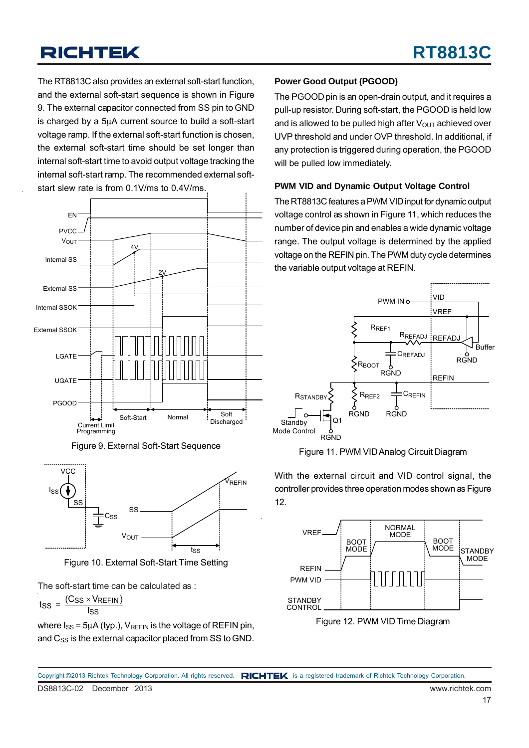The RT8813C also provides an external soft-start function, and the external soft-start sequence is shown in Figure 9. The external capacitor connected from SS pin to GND is charged by a 5μA current source to build a soft-start voltage ramp. If the external soft-start function is chosen, the external soft-start time should be set longer than internal soft-start time to avoid output voltage tracking the internal soft-start ramp. The recommended external softstart slew rate is from 0.1V/ms to 0.4V/ms.







Figure 10. External Soft-Start Time Setting

The soft-start time can be calculated as :

$$
t_{SS} = \frac{(C_{SS} \times V_{REFIN})}{I_{SS}}
$$

where  $I_{SS}$  = 5µA (typ.),  $V_{REFIN}$  is the voltage of REFIN pin, and C<sub>SS</sub> is the external capacitor placed from SS to GND.

### **Power Good Output (PGOOD)**

The PGOOD pin is an open-drain output, and it requires a pull-up resistor. During soft-start, the PGOOD is held low and is allowed to be pulled high after  $V_{\text{OUT}}$  achieved over UVP threshold and under OVP threshold. In additional, if any protection is triggered during operation, the PGOOD will be pulled low immediately.

### **PWM VID and Dynamic Output Voltage Control**

The RT8813C features a PWM VID input for dynamic output voltage control as shown in Figure 11, which reduces the number of device pin and enables a wide dynamic voltage range. The output voltage is determined by the applied voltage on the REFIN pin. The PWM duty cycle determines the variable output voltage at REFIN.



Figure 11. PWM VID Analog Circuit Diagram

With the external circuit and VID control signal, the controller provides three operation modes shown as Figure 12.



Figure 12. PWM VID Time Diagram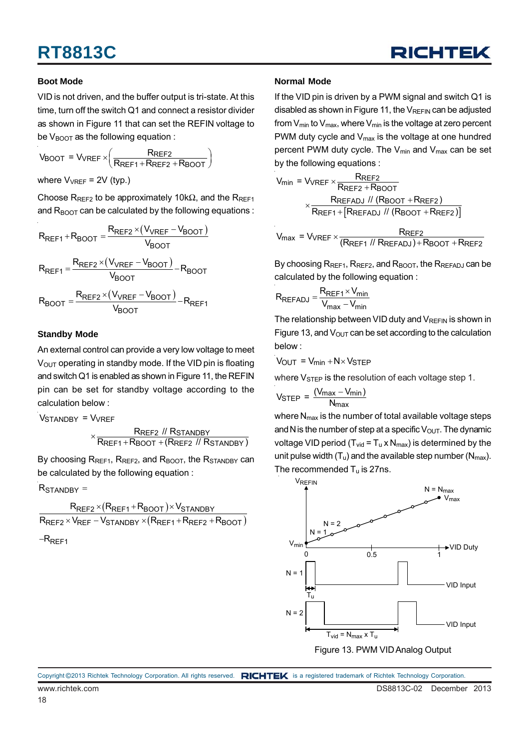

### **Boot Mode**

VID is not driven, and the buffer output is tri-state. At this time, turn off the switch Q1 and connect a resistor divider as shown in Figure 11 that can set the REFIN voltage to be  $V_{\text{BOOT}}$  as the following equation :

$$
V_{\text{BOOT}} = V_{\text{VREF}} \times \left(\frac{R_{\text{REF2}}}{R_{\text{REF1}} + R_{\text{REF2}} + R_{\text{BOOT}}}\right)
$$

where  $V_{VREF}$  = 2V (typ.)

Choose R<sub>REF2</sub> to be approximately 10kΩ, and the R<sub>REF1</sub> and  $R_{\text{BOOT}}$  can be calculated by the following equations :

$$
R_{REF1} + R_{BOOT} = \frac{R_{REF2} \times (V_{VREF} - V_{BOOT})}{V_{BOOT}}
$$

$$
R_{REF1} = \frac{R_{REF2} \times (V_{VREF} - V_{BOOT})}{V_{BOOT}} - R_{BOOT}
$$

$$
R_{BOOT} = \frac{R_{REF2} \times (V_{VREF} - V_{BOOT})}{V_{BOOT}} - R_{REF1}
$$

### **Standby Mode**

An external control can provide a very low voltage to meet  $V<sub>OUT</sub>$  operating in standby mode. If the VID pin is floating and switch Q1 is enabled as shown in Figure 11, the REFIN pin can be set for standby voltage according to the calculation below :

Vstandby = V<sub>VREF</sub>

 REF2 STANDBY  $\times \frac{\textsf{R}_\textsf{REF2} \textit{ // R}_\textsf{STANDBY}}{\textsf{R}_\textsf{REF1} + \textsf{R}_\textsf{BOOT} + (\textsf{R}_\textsf{REF2} \textit{ // R}_\textsf{STANDBY})}$ 

By choosing R<sub>REF1</sub>, R<sub>REF2</sub>, and R<sub>BOOT</sub>, the R<sub>STANDBY</sub> can be calculated by the following equation :

 $\mathsf{R}_{\mathsf{STANDBY}} =$ 

$$
\frac{R_{REF2} \times (R_{REF1} + R_{BOOT}) \times V_{STANDBY}}{R_{REF2} \times V_{REF} - V_{STANDBY} \times (R_{REF1} + R_{REF2} + R_{BOOT})}
$$

-R<sub>REF1</sub>

### **Normal Mode**

If the VID pin is driven by a PWM signal and switch Q1 is disabled as shown in Figure 11, the  $V_{REFIN}$  can be adjusted from  $V_{min}$  to  $V_{max}$ , where  $V_{min}$  is the voltage at zero percent PWM duty cycle and  $V_{\text{max}}$  is the voltage at one hundred percent PWM duty cycle. The  $V_{min}$  and  $V_{max}$  can be set by the following equations :

$$
V_{min} = V_{VREF} \times \frac{R_{REF2}}{R_{REF2} + R_{BOOT}}
$$
\n
$$
\times \frac{R_{REF1} / I (R_{BOOT} + R_{REF2})}{R_{REF1} + [R_{REFADJ} / I (R_{BOOT} + R_{REF2})]}
$$
\n
$$
V_{max} = V_{VREF} \times \frac{R_{REF2}}{(R_{REF1} / I (R_{REFADJ}) + R_{BOOT} + R_{REF2})}
$$

By choosing  $R_{REF1}$ ,  $R_{REF2}$ , and  $R_{BOOT}$ , the  $R_{REFADJ}$  can be calculated by the following equation :

$$
R_{REFADJ} = \frac{R_{REF1} \times V_{min}}{V_{max} - V_{min}}
$$

The relationship between VID duty and  $V_{REFIN}$  is shown in Figure 13, and  $V_{\text{OUT}}$  can be set according to the calculation below :

$$
V_{OUT} = V_{min} + N \times V_{STEP}
$$

where  $V_{\text{STEP}}$  is the resolution of each voltage step 1.

$$
V_{\text{STEP}} = \frac{(V_{\text{max}} - V_{\text{min}})}{N_{\text{max}}}
$$

where N<sub>max</sub> is the number of total available voltage steps and N is the number of step at a specific  $V_{\text{OUT}}$ . The dynamic voltage VID period ( $T_{vid} = T_u \times N_{max}$ ) is determined by the unit pulse width  $(T_u)$  and the available step number ( $N_{max}$ ). The recommended  $T_u$  is 27ns.



Figure 13. PWM VID Analog Output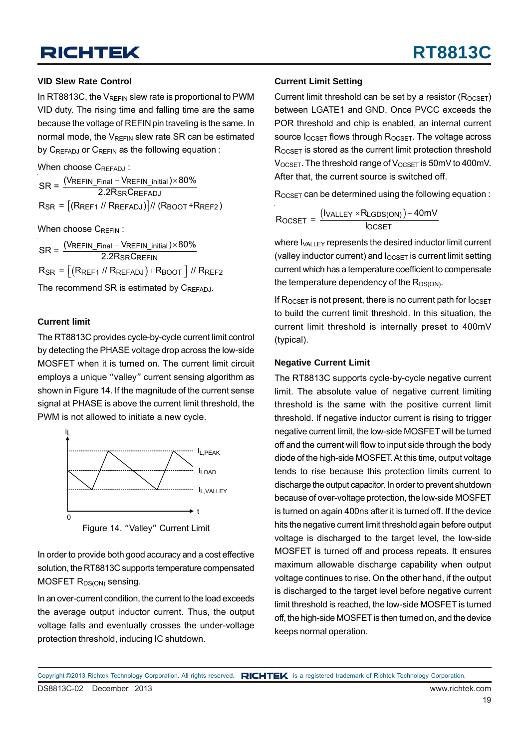### **VID Slew Rate Control**

In RT8813C, the  $V_{REFIN}$  slew rate is proportional to PWM VID duty. The rising time and falling time are the same because the voltage of REFIN pin traveling is the same. In normal mode, the  $V_{RFFIN}$  slew rate SR can be estimated by C<sub>REFADJ</sub> or C<sub>REFIN</sub> as the following equation :

When choose CREEADJ:

Rsr = [(Rref1 // Rrefadj)]// (Rboot +Rref2) REFIN\_Final <sup>—</sup> VREFIN\_initial  $\mathsf{SR} = \frac{(\mathsf{V}\mathsf{REFIN\_Final} - \mathsf{V}\mathsf{REFIN\_initial}) \times 80\%}{2.2\mathsf{RS}\mathsf{R}\mathsf{C}\mathsf{REFADJ}}$ 

When choose CREEIN:

 $\mathsf{R}_{\mathsf{S}\mathsf{R}}$  =  $\big\lfloor(\mathsf{R}_{\mathsf{REF1}}$  //  $\mathsf{R}_{\mathsf{REFADJ}})$  +  $\mathsf{R}_{\mathsf{BOOT}}\big\rfloor$  //  $\mathsf{R}_{\mathsf{REF2}}$  ${\sf REFIN\_Final-VEREFIN\_initial}$ ) $\times$  $\text{SR} = \frac{(\text{VREFIN\_Final} - \text{VREFIN\_initial}) \times 80\%}{2.2\text{RSRCREFIN}}$ 

The recommend SR is estimated by CREFADJ.

### **Current limit**

The RT8813C provides cycle-by-cycle current limit control by detecting the PHASE voltage drop across the low-side MOSFET when it is turned on. The current limit circuit employs a unique "valley" current sensing algorithm as shown in Figure 14. If the magnitude of the current sense signal at PHASE is above the current limit threshold, the PWM is not allowed to initiate a new cycle.



In order to provide both good accuracy and a cost effective solution, the RT8813C supports temperature compensated MOSFET R<sub>DS(ON)</sub> sensing.

In an over-current condition, the current to the load exceeds the average output inductor current. Thus, the output voltage falls and eventually crosses the under-voltage protection threshold, inducing IC shutdown.

### **Current Limit Setting**

Current limit threshold can be set by a resistor  $(R_{OCSFT})$ between LGATE1 and GND. Once PVCC exceeds the POR threshold and chip is enabled, an internal current source  $I_{OCSFT}$  flows through  $R_{OCSFT}$ . The voltage across ROCSET is stored as the current limit protection threshold  $V_{OCSFT}$ . The threshold range of  $V_{OCSFT}$  is 50mV to 400mV. After that, the current source is switched off.

 $R_{OCSFT}$  can be determined using the following equation :

$$
R_{OCSET} = \frac{(I_{VALLEY} \times R_{LGDS(ON)}) + 40mV}{I_{OCSET}}
$$

where  $I_{VAI, IFY}$  represents the desired inductor limit current (valley inductor current) and  $I_{OCSET}$  is current limit setting current which has a temperature coefficient to compensate the temperature dependency of the  $R_{DS(ON)}$ .

If  $R_{OCSFT}$  is not present, there is no current path for  $I_{OCSFT}$ to build the current limit threshold. In this situation, the current limit threshold is internally preset to 400mV (typical).

### **Negative Current Limit**

The RT8813C supports cycle-by-cycle negative current limit. The absolute value of negative current limiting threshold is the same with the positive current limit threshold. If negative inductor current is rising to trigger negative current limit, the low-side MOSFET will be turned off and the current will flow to input side through the body diode of the high-side MOSFET. At this time, output voltage tends to rise because this protection limits current to discharge the output capacitor. In order to prevent shutdown because of over-voltage protection, the low-side MOSFET is turned on again 400ns after it is turned off. If the device hits the negative current limit threshold again before output voltage is discharged to the target level, the low-side MOSFET is turned off and process repeats. It ensures maximum allowable discharge capability when output voltage continues to rise. On the other hand, if the output is discharged to the target level before negative current limit threshold is reached, the low-side MOSFET is turned off, the high-side MOSFET is then turned on, and the device keeps normal operation.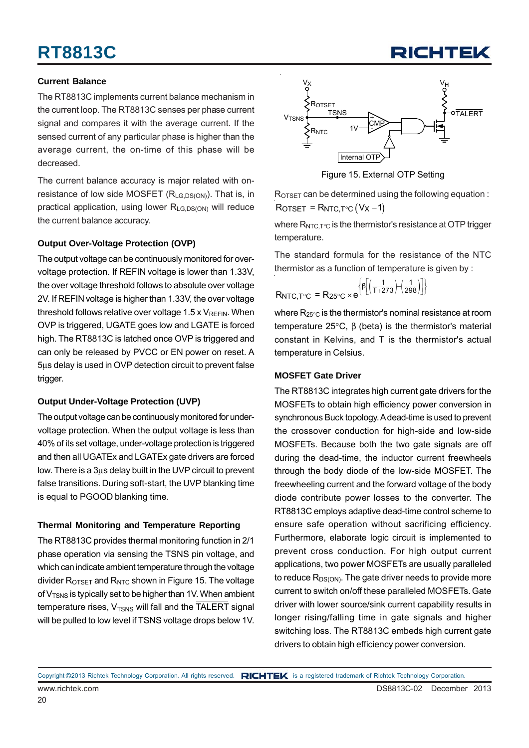### **Current Balance**

The RT8813C implements current balance mechanism in the current loop. The RT8813C senses per phase current signal and compares it with the average current. If the sensed current of any particular phase is higher than the average current, the on-time of this phase will be decreased.

The current balance accuracy is major related with onresistance of low side MOSFET  $(R<sub>1</sub>GB0S(ON))$ . That is, in practical application, using lower R<sub>LG,DS(ON)</sub> will reduce the current balance accuracy.

### **Output Over-Voltage Protection (OVP)**

The output voltage can be continuously monitored for overvoltage protection. If REFIN voltage is lower than 1.33V, the over voltage threshold follows to absolute over voltage 2V. If REFIN voltage is higher than 1.33V, the over voltage threshold follows relative over voltage 1.5 x  $V_{REFIN}$ . When OVP is triggered, UGATE goes low and LGATE is forced high. The RT8813C is latched once OVP is triggered and can only be released by PVCC or EN power on reset. A 5μs delay is used in OVP detection circuit to prevent false trigger.

### **Output Under-Voltage Protection (UVP)**

The output voltage can be continuously monitored for undervoltage protection. When the output voltage is less than 40% of its set voltage, under-voltage protection is triggered and then all UGATEx and LGATEx gate drivers are forced low. There is a 3μs delay built in the UVP circuit to prevent false transitions. During soft-start, the UVP blanking time is equal to PGOOD blanking time.

### **Thermal Monitoring and Temperature Reporting**

The RT8813C provides thermal monitoring function in 2/1 phase operation via sensing the TSNS pin voltage, and which can indicate ambient temperature through the voltage divider  $R_{\text{OTSET}}$  and  $R_{\text{NTC}}$  shown in Figure 15. The voltage of  $V<sub>TSNS</sub>$  is typically set to be higher than 1V. When ambient temperature rises,  $V_{TSNS}$  will fall and the TALERT signal will be pulled to low level if TSNS voltage drops below 1V.



RICHTEL

Figure 15. External OTP Setting

ROTSET can be determined using the following equation :  $\text{ROTSET} = \text{RNTC}, \text{TC} \left( \text{V} \text{x} - 1 \right)$ 

where  $R_{NTC.T°C}$  is the thermistor's resistance at OTP trigger temperature.

The standard formula for the resistance of the NTC thermistor as a function of temperature is given by :

$$
R_{\text{NTC},T^{\circ}\text{C}} = R_{25^{\circ}\text{C}} \times e^{\left\{ \beta \left[ \left( \frac{1}{T + 273} \right) - \left( \frac{1}{298} \right) \right] \right\}}
$$

where  $R_{25\degree C}$  is the thermistor's nominal resistance at room temperature 25°C, β (beta) is the thermistor's material constant in Kelvins, and T is the thermistor's actual temperature in Celsius.

### **MOSFET Gate Driver**

The RT8813C integrates high current gate drivers for the MOSFETs to obtain high efficiency power conversion in synchronous Buck topology. A dead-time is used to prevent the crossover conduction for high-side and low-side MOSFETs. Because both the two gate signals are off during the dead-time, the inductor current freewheels through the body diode of the low-side MOSFET. The freewheeling current and the forward voltage of the body diode contribute power losses to the converter. The RT8813C employs adaptive dead-time control scheme to ensure safe operation without sacrificing efficiency. Furthermore, elaborate logic circuit is implemented to prevent cross conduction. For high output current applications, two power MOSFETs are usually paralleled to reduce  $R_{DS(ON)}$ . The gate driver needs to provide more current to switch on/off these paralleled MOSFETs. Gate driver with lower source/sink current capability results in longer rising/falling time in gate signals and higher switching loss. The RT8813C embeds high current gate drivers to obtain high efficiency power conversion.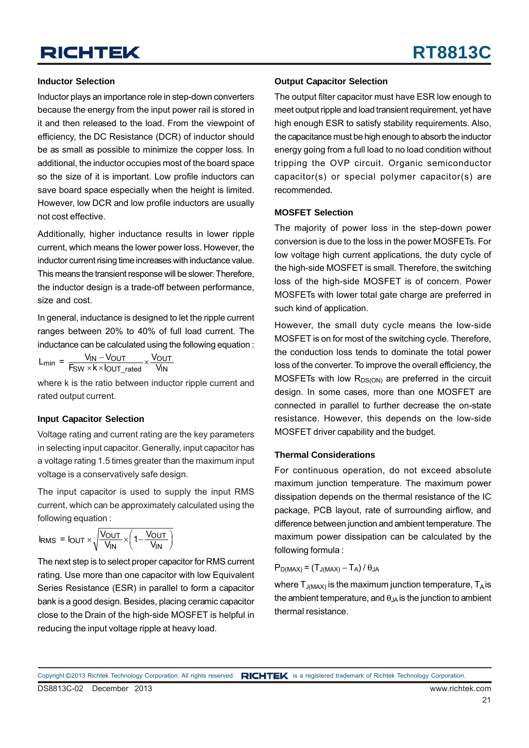### **Inductor Selection**

Inductor plays an importance role in step-down converters because the energy from the input power rail is stored in it and then released to the load. From the viewpoint of efficiency, the DC Resistance (DCR) of inductor should be as small as possible to minimize the copper loss. In additional, the inductor occupies most of the board space so the size of it is important. Low profile inductors can save board space especially when the height is limited. However, low DCR and low profile inductors are usually not cost effective.

Additionally, higher inductance results in lower ripple current, which means the lower power loss. However, the inductor current rising time increases with inductance value. This means the transient response will be slower. Therefore, the inductor design is a trade-off between performance, size and cost.

In general, inductance is designed to let the ripple current ranges between 20% to 40% of full load current. The inductance can be calculated using the following equation :

 $L_{min} = \frac{V_{IN} - V_{OUT}}{F_{SW} \times k \times l_{OUT\_rated}} \times \frac{V_{OUT}}{V_{IN}}$ 

where k is the ratio between inductor ripple current and rated output current.

### **Input Capacitor Selection**

Voltage rating and current rating are the key parameters in selecting input capacitor. Generally, input capacitor has a voltage rating 1.5 times greater than the maximum input voltage is a conservatively safe design.

The input capacitor is used to supply the input RMS current, which can be approximately calculated using the following equation :

IRMS =  $I_{\text{OUT}} \times \sqrt{\frac{V_{\text{OUT}}}{V_{\text{IN}}}} \times \left(1 - \frac{V_{\text{OUT}}}{V_{\text{IN}}}\right)$ 

The next step is to select proper capacitor for RMS current rating. Use more than one capacitor with low Equivalent Series Resistance (ESR) in parallel to form a capacitor bank is a good design. Besides, placing ceramic capacitor close to the Drain of the high-side MOSFET is helpful in reducing the input voltage ripple at heavy load.

### **Output Capacitor Selection**

The output filter capacitor must have ESR low enough to meet output ripple and load transient requirement, yet have high enough ESR to satisfy stability requirements. Also, the capacitance must be high enough to absorb the inductor energy going from a full load to no load condition without tripping the OVP circuit. Organic semiconductor capacitor(s) or special polymer capacitor(s) are recommended.

### **MOSFET Selection**

The majority of power loss in the step-down power conversion is due to the loss in the power MOSFETs. For low voltage high current applications, the duty cycle of the high-side MOSFET is small. Therefore, the switching loss of the high-side MOSFET is of concern. Power MOSFETs with lower total gate charge are preferred in such kind of application.

However, the small duty cycle means the low-side MOSFET is on for most of the switching cycle. Therefore, the conduction loss tends to dominate the total power loss of the converter. To improve the overall efficiency, the MOSFETs with low  $R_{DS(ON)}$  are preferred in the circuit design. In some cases, more than one MOSFET are connected in parallel to further decrease the on-state resistance. However, this depends on the low-side MOSFET driver capability and the budget.

### **Thermal Considerations**

For continuous operation, do not exceed absolute maximum junction temperature. The maximum power dissipation depends on the thermal resistance of the IC package, PCB layout, rate of surrounding airflow, and difference between junction and ambient temperature. The maximum power dissipation can be calculated by the following formula :

 $P_{D(MAX)} = (T_{J(MAX)} - T_A) / \theta_{JA}$ 

where  $T_{J(MAX)}$  is the maximum junction temperature,  $T_A$  is the ambient temperature, and  $\theta_{JA}$  is the junction to ambient thermal resistance.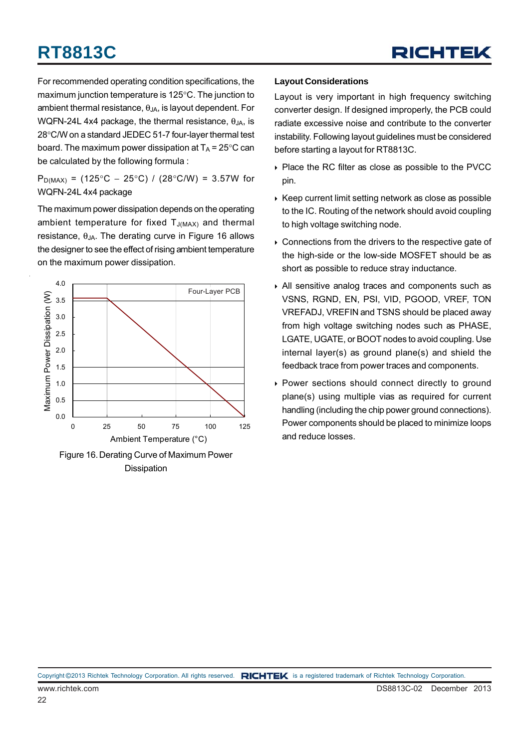For recommended operating condition specifications, the maximum junction temperature is 125°C. The junction to ambient thermal resistance,  $\theta_{JA}$ , is layout dependent. For WQFN-24L 4x4 package, the thermal resistance,  $\theta_{JA}$ , is 28°C/W on a standard JEDEC 51-7 four-layer thermal test board. The maximum power dissipation at  $T_A$  = 25°C can be calculated by the following formula :

P<sub>D(MAX)</sub> = (125°C – 25°C) / (28°C/W) = 3.57W for WQFN-24L 4x4 package

The maximum power dissipation depends on the operating ambient temperature for fixed  $T_{J(MAX)}$  and thermal resistance,  $θ<sub>JA</sub>$ . The derating curve in Figure 16 allows the designer to see the effect of rising ambient temperature on the maximum power dissipation.





### **Layout Considerations**

Layout is very important in high frequency switching converter design. If designed improperly, the PCB could radiate excessive noise and contribute to the converter instability. Following layout guidelines must be considered before starting a layout for RT8813C.

- ▶ Place the RC filter as close as possible to the PVCC pin.
- $\triangleright$  Keep current limit setting network as close as possible to the IC. Routing of the network should avoid coupling to high voltage switching node.
- Connections from the drivers to the respective gate of the high-side or the low-side MOSFET should be as short as possible to reduce stray inductance.
- All sensitive analog traces and components such as VSNS, RGND, EN, PSI, VID, PGOOD, VREF, TON VREFADJ, VREFIN and TSNS should be placed away from high voltage switching nodes such as PHASE, LGATE, UGATE, or BOOT nodes to avoid coupling. Use internal layer(s) as ground plane(s) and shield the feedback trace from power traces and components.
- Power sections should connect directly to ground plane(s) using multiple vias as required for current handling (including the chip power ground connections). Power components should be placed to minimize loops and reduce losses.